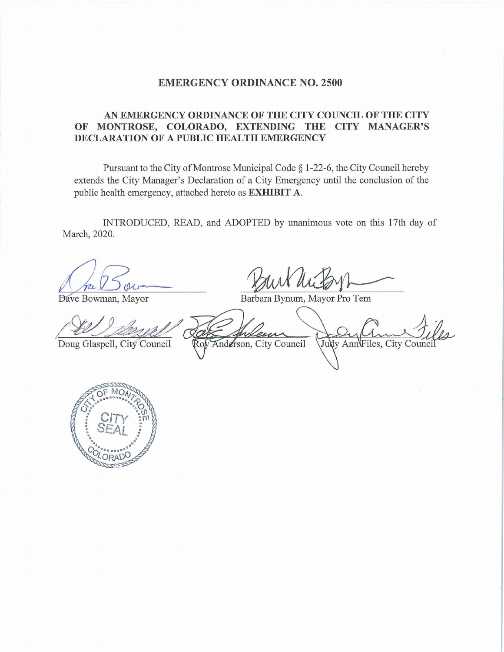## **EMERGENCY ORDINANCE NO. 2500**

## **AN EMERGENCY ORDINANCE OF THE CITY COUNCIL OF THE CITY OF MONTROSE, COLORADO, EXTENDING THE CITY MANAGER'S DECLARATION OF A PUBLIC HEALTH EMERGENCY**

Pursuant to the City of Montrose Municipal Code § 1-22-6, the City Council hereby extends the City Manager's Declaration of a City Emergency until the conclusion of the public health emergency, attached hereto as **EXHIBIT A.**  a City Emergency until the conclusion of the<br>**EXHIBIT A.**<br>PTED by unanimous vote on this 17th day of<br> $\frac{1}{2}$ <br>arbara Bynum, Mayor Pro Tem

INTRODUCED, READ, and ADOPTED by unanimous vote on this 17th day of March, 2020.

Dave Bowman, Mayor

Barbara Bynum, Mayor Pro Tem

Doug Glaspell, City Council

Anderson, City Council Judy Ann Files, City Counci

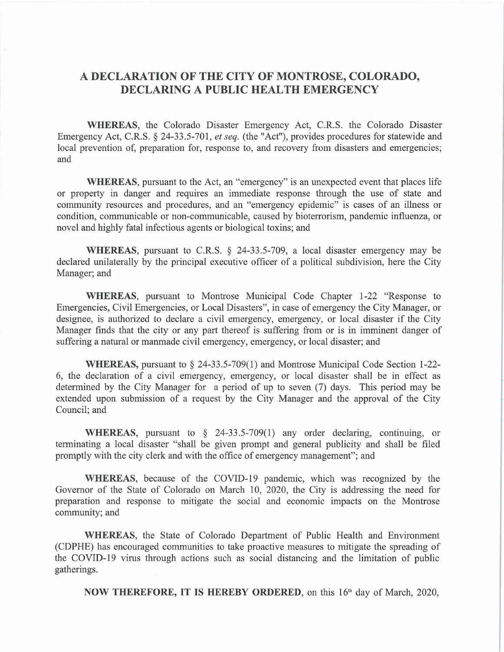## **A DECLARATION OF THE CITY OF MONTROSE, COLORADO, DECLARING A PUBLIC HEALTH EMERGENCY**

**WHEREAS,** the Colorado Disaster Emergency Act, C.R.S. the Colorado Disaster Emergency Act, C.R.S. § 24-33.5-701, *et seq.* (the "Act"), provides procedures for statewide and local prevention of, preparation for, response to, and recovery from disasters and emergencies; and

**WHEREAS,** pursuant to the Act, an "emergency" is an unexpected event that places life or property in danger and requires an immediate response through the use of state and community resources and procedures, and an "emergency epidemic" is cases of an illness or condition, communicable or non-communicable, caused by bioterrorism, pandemic influenza, or novel and highly fatal infectious agents or biological toxins; and

**WHEREAS,** pursuant to C.R.S. § 24-33.5-709, a local disaster emergency may be declared unilaterally by the principal executive officer of a political subdivision, here the City Manager; and

**WHEREAS,** pursuant to Montrose Municipal Code Chapter 1-22 "Response to Emergencies, Civil Emergencies, or Local Disasters", in case of emergency the City Manager, or designee, is authorized to declare a civil emergency, emergency, or local disaster if the City Manager finds that the city or any part thereof is suffering from or is in imminent danger of suffering a natural or manmade civil emergency, emergency, or local disaster; and

**WHEREAS,** pursuant to § 24-33.5-709(1) and Montrose Municipal Code Section 1-22- 6, the declaration of a civil emergency, emergency, or local disaster shall be in effect as determined by the City Manager for a period of up to seven (7) days. This period may be extended upon submission of a request by the City Manager and the approval of the City Council; and

**WHEREAS,** pursuant to § 24-33.5-709(1) any order declaring, continuing, or terminating a local disaster "shall be given prompt and general publicity and shall be filed promptly with the city clerk and with the office of emergency management"; and

**WHEREAS,** because of the COVID-19 pandemic, which was recognized by the Governor of the State of Colorado on March 10, 2020, the City is addressing the need for preparation and response to mitigate the social and economic impacts on the Montrose community; and

**WHEREAS,** the State of Colorado Department of Public Health and Environment (CDPHE) has encouraged communities to take proactive measures to mitigate the spreading of the COVID-19 virus through actions such as social distancing and the limitation of public gatherings.

**NOW THEREFORE, IT IS HEREBY ORDERED,** on this 16'h day of March, 2020,